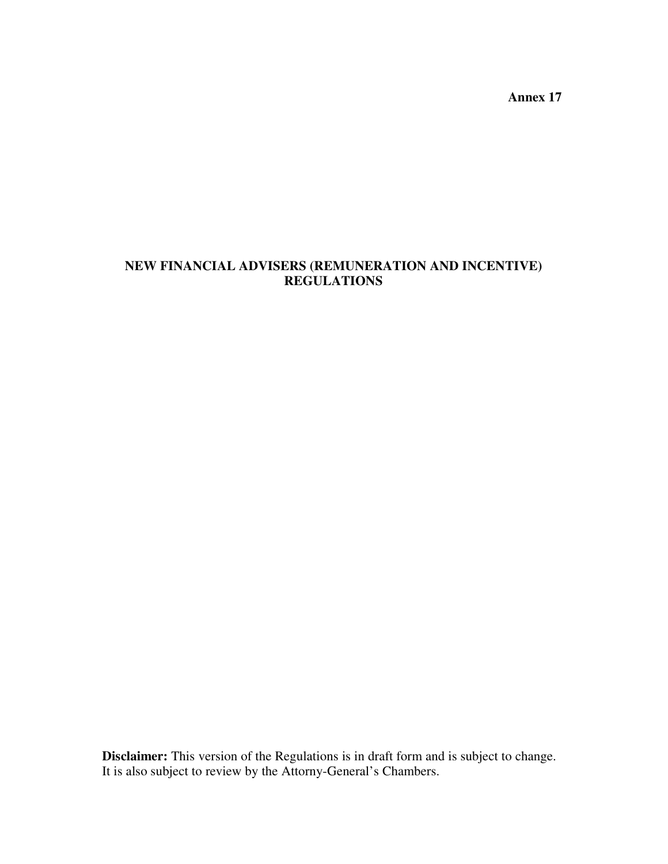**Annex 17** 

# **NEW FINANCIAL ADVISERS (REMUNERATION AND INCENTIVE) REGULATIONS**

**Disclaimer:** This version of the Regulations is in draft form and is subject to change. It is also subject to review by the Attorny-General's Chambers.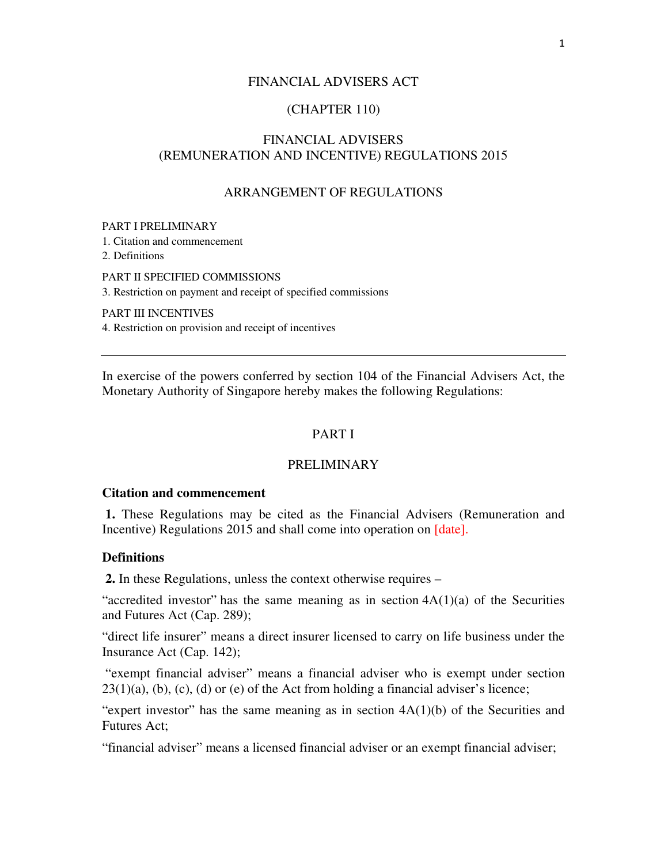## FINANCIAL ADVISERS ACT

## (CHAPTER 110)

## FINANCIAL ADVISERS (REMUNERATION AND INCENTIVE) REGULATIONS 2015

## ARRANGEMENT OF REGULATIONS

#### PART I PRELIMINARY

1. Citation and commencement

2. Definitions

PART II SPECIFIED COMMISSIONS

3. Restriction on payment and receipt of specified commissions

PART III INCENTIVES

4. Restriction on provision and receipt of incentives

In exercise of the powers conferred by section 104 of the Financial Advisers Act, the Monetary Authority of Singapore hereby makes the following Regulations:

## PART I

## PRELIMINARY

#### **Citation and commencement**

 **1.** These Regulations may be cited as the Financial Advisers (Remuneration and Incentive) Regulations 2015 and shall come into operation on [date].

## **Definitions**

 **2.** In these Regulations, unless the context otherwise requires –

"accredited investor" has the same meaning as in section  $4A(1)(a)$  of the Securities and Futures Act (Cap. 289);

"direct life insurer" means a direct insurer licensed to carry on life business under the Insurance Act (Cap. 142);

"exempt financial adviser" means a financial adviser who is exempt under section  $23(1)(a)$ , (b), (c), (d) or (e) of the Act from holding a financial adviser's licence;

"expert investor" has the same meaning as in section  $4A(1)(b)$  of the Securities and Futures Act;

"financial adviser" means a licensed financial adviser or an exempt financial adviser;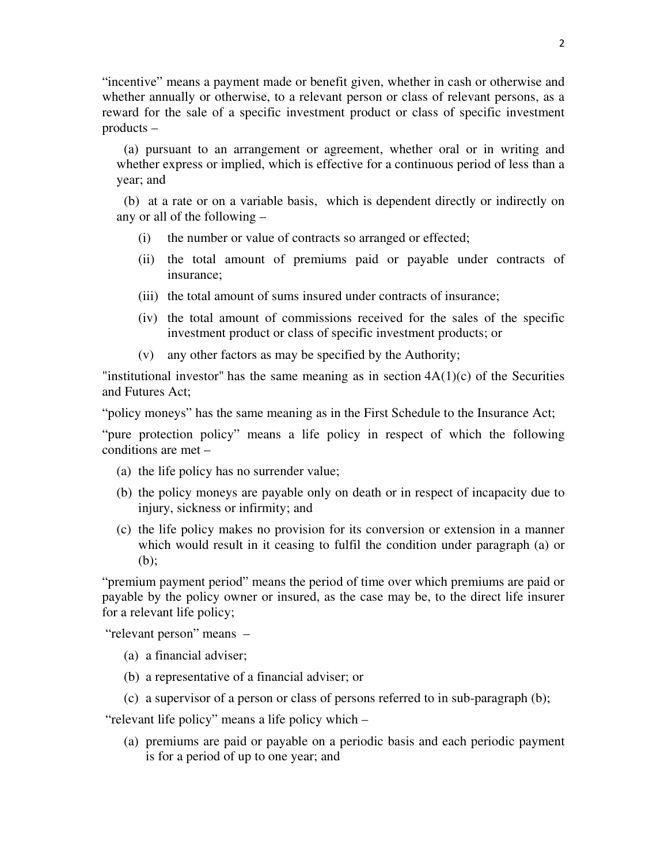"incentive" means a payment made or benefit given, whether in cash or otherwise and whether annually or otherwise, to a relevant person or class of relevant persons, as a reward for the sale of a specific investment product or class of specific investment products –

(a) pursuant to an arrangement or agreement, whether oral or in writing and whether express or implied, which is effective for a continuous period of less than a year; and

(b) at a rate or on a variable basis, which is dependent directly or indirectly on any or all of the following –

- (i) the number or value of contracts so arranged or effected;
- (ii) the total amount of premiums paid or payable under contracts of insurance;
- (iii) the total amount of sums insured under contracts of insurance;
- (iv) the total amount of commissions received for the sales of the specific investment product or class of specific investment products; or
- (v) any other factors as may be specified by the Authority;

"institutional investor" has the same meaning as in section  $4A(1)(c)$  of the Securities and Futures Act;

"policy moneys" has the same meaning as in the First Schedule to the Insurance Act;

"pure protection policy" means a life policy in respect of which the following conditions are met –

- (a) the life policy has no surrender value;
- (b) the policy moneys are payable only on death or in respect of incapacity due to injury, sickness or infirmity; and
- (c) the life policy makes no provision for its conversion or extension in a manner which would result in it ceasing to fulfil the condition under paragraph (a) or (b);

"premium payment period" means the period of time over which premiums are paid or payable by the policy owner or insured, as the case may be, to the direct life insurer for a relevant life policy;

"relevant person" means –

- (a) a financial adviser;
- (b) a representative of a financial adviser; or
- (c) a supervisor of a person or class of persons referred to in sub-paragraph (b);

"relevant life policy" means a life policy which –

(a) premiums are paid or payable on a periodic basis and each periodic payment is for a period of up to one year; and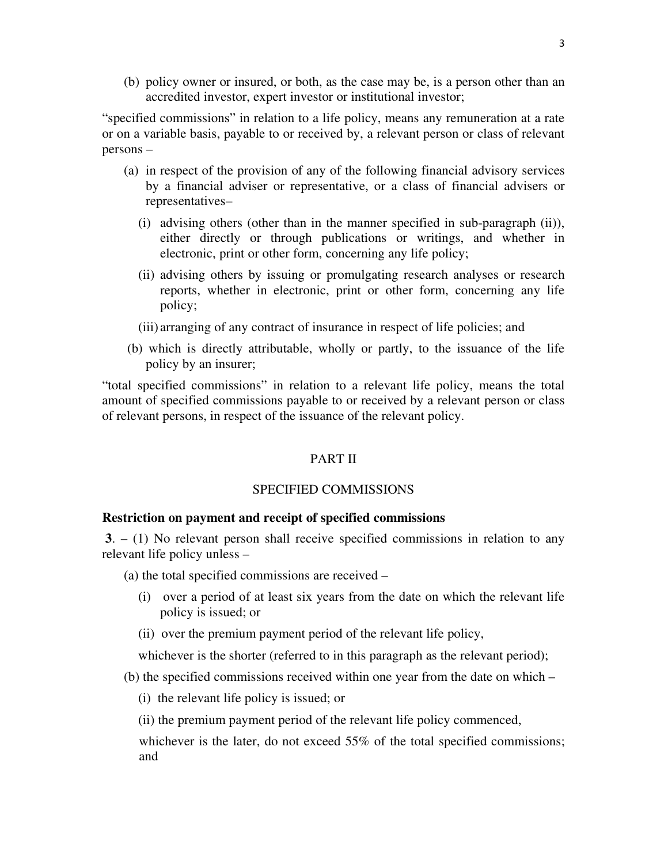(b) policy owner or insured, or both, as the case may be, is a person other than an accredited investor, expert investor or institutional investor;

"specified commissions" in relation to a life policy, means any remuneration at a rate or on a variable basis, payable to or received by, a relevant person or class of relevant persons –

- (a) in respect of the provision of any of the following financial advisory services by a financial adviser or representative, or a class of financial advisers or representatives–
	- (i) advising others (other than in the manner specified in sub-paragraph (ii)), either directly or through publications or writings, and whether in electronic, print or other form, concerning any life policy;
	- (ii) advising others by issuing or promulgating research analyses or research reports, whether in electronic, print or other form, concerning any life policy;
	- (iii) arranging of any contract of insurance in respect of life policies; and
- (b) which is directly attributable, wholly or partly, to the issuance of the life policy by an insurer;

"total specified commissions" in relation to a relevant life policy, means the total amount of specified commissions payable to or received by a relevant person or class of relevant persons, in respect of the issuance of the relevant policy.

## PART II

## SPECIFIED COMMISSIONS

## **Restriction on payment and receipt of specified commissions**

 **3**. – (1) No relevant person shall receive specified commissions in relation to any relevant life policy unless –

(a) the total specified commissions are received –

- (i) over a period of at least six years from the date on which the relevant life policy is issued; or
- (ii) over the premium payment period of the relevant life policy,

whichever is the shorter (referred to in this paragraph as the relevant period);

- (b) the specified commissions received within one year from the date on which
	- (i) the relevant life policy is issued; or
	- (ii) the premium payment period of the relevant life policy commenced,

whichever is the later, do not exceed 55% of the total specified commissions; and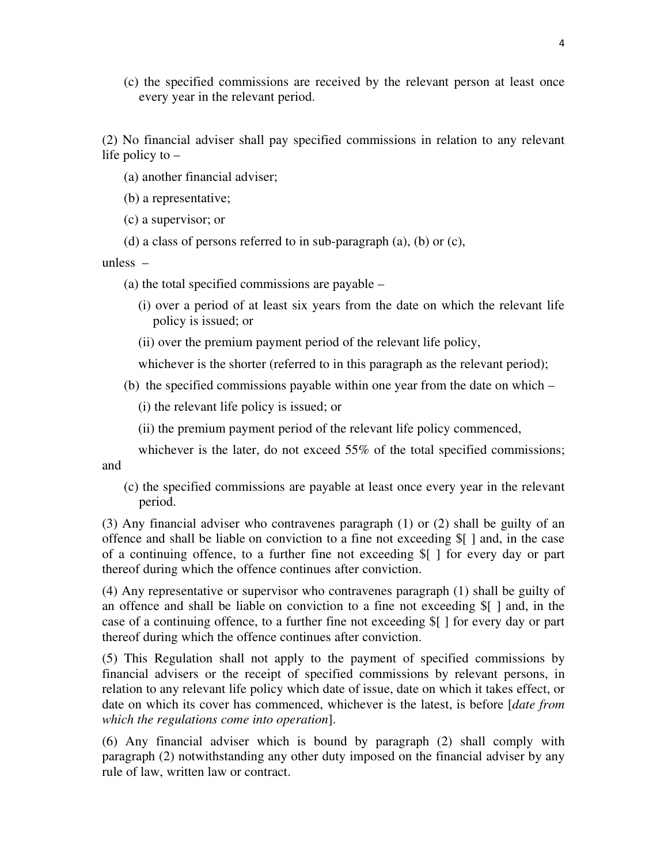(c) the specified commissions are received by the relevant person at least once every year in the relevant period.

(2) No financial adviser shall pay specified commissions in relation to any relevant life policy to –

(a) another financial adviser;

(b) a representative;

(c) a supervisor; or

(d) a class of persons referred to in sub-paragraph (a), (b) or (c),

unless –

(a) the total specified commissions are payable –

- (i) over a period of at least six years from the date on which the relevant life policy is issued; or
- (ii) over the premium payment period of the relevant life policy,

whichever is the shorter (referred to in this paragraph as the relevant period);

(b) the specified commissions payable within one year from the date on which –

(i) the relevant life policy is issued; or

(ii) the premium payment period of the relevant life policy commenced,

whichever is the later, do not exceed 55% of the total specified commissions; and

(c) the specified commissions are payable at least once every year in the relevant period.

(3) Any financial adviser who contravenes paragraph (1) or (2) shall be guilty of an offence and shall be liable on conviction to a fine not exceeding \$[ ] and, in the case of a continuing offence, to a further fine not exceeding \$[ ] for every day or part thereof during which the offence continues after conviction.

(4) Any representative or supervisor who contravenes paragraph (1) shall be guilty of an offence and shall be liable on conviction to a fine not exceeding \$[ ] and, in the case of a continuing offence, to a further fine not exceeding \$[ ] for every day or part thereof during which the offence continues after conviction.

(5) This Regulation shall not apply to the payment of specified commissions by financial advisers or the receipt of specified commissions by relevant persons, in relation to any relevant life policy which date of issue, date on which it takes effect, or date on which its cover has commenced, whichever is the latest, is before [*date from which the regulations come into operation*].

(6) Any financial adviser which is bound by paragraph (2) shall comply with paragraph (2) notwithstanding any other duty imposed on the financial adviser by any rule of law, written law or contract.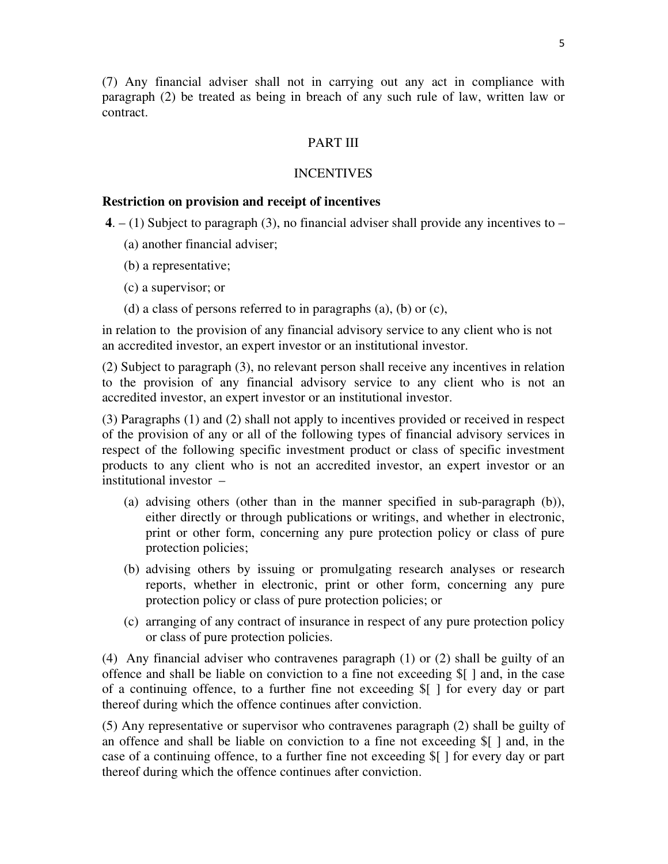(7) Any financial adviser shall not in carrying out any act in compliance with paragraph (2) be treated as being in breach of any such rule of law, written law or contract.

## PART III

### **INCENTIVES**

#### **Restriction on provision and receipt of incentives**

**4.**  $- (1)$  Subject to paragraph (3), no financial adviser shall provide any incentives to  $-$ 

- (a) another financial adviser;
- (b) a representative;
- (c) a supervisor; or
- (d) a class of persons referred to in paragraphs (a), (b) or (c),

in relation to the provision of any financial advisory service to any client who is not an accredited investor, an expert investor or an institutional investor.

(2) Subject to paragraph (3), no relevant person shall receive any incentives in relation to the provision of any financial advisory service to any client who is not an accredited investor, an expert investor or an institutional investor.

(3) Paragraphs (1) and (2) shall not apply to incentives provided or received in respect of the provision of any or all of the following types of financial advisory services in respect of the following specific investment product or class of specific investment products to any client who is not an accredited investor, an expert investor or an institutional investor –

- (a) advising others (other than in the manner specified in sub-paragraph (b)), either directly or through publications or writings, and whether in electronic, print or other form, concerning any pure protection policy or class of pure protection policies;
- (b) advising others by issuing or promulgating research analyses or research reports, whether in electronic, print or other form, concerning any pure protection policy or class of pure protection policies; or
- (c) arranging of any contract of insurance in respect of any pure protection policy or class of pure protection policies.

(4) Any financial adviser who contravenes paragraph (1) or (2) shall be guilty of an offence and shall be liable on conviction to a fine not exceeding \$[ ] and, in the case of a continuing offence, to a further fine not exceeding \$[ ] for every day or part thereof during which the offence continues after conviction.

(5) Any representative or supervisor who contravenes paragraph (2) shall be guilty of an offence and shall be liable on conviction to a fine not exceeding \$[ ] and, in the case of a continuing offence, to a further fine not exceeding \$[ ] for every day or part thereof during which the offence continues after conviction.